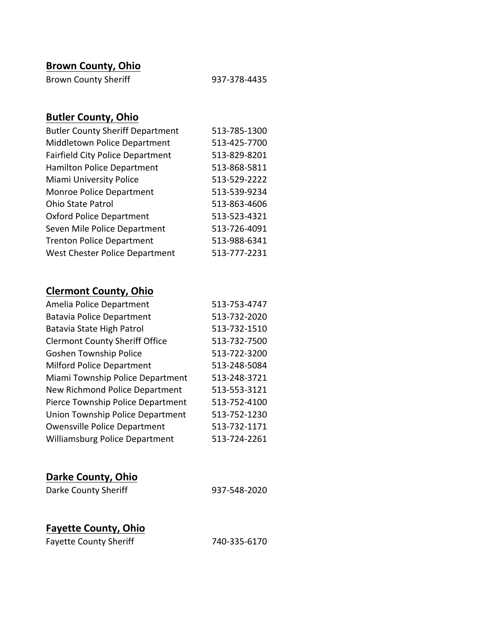### **Brown County, Ohio**

| <b>Brown County Sheriff</b> | 937-378-4435 |
|-----------------------------|--------------|
|-----------------------------|--------------|

# **Butler County, Ohio**

| <b>Butler County Sheriff Department</b> | 513-785-1300 |
|-----------------------------------------|--------------|
| Middletown Police Department            | 513-425-7700 |
| <b>Fairfield City Police Department</b> | 513-829-8201 |
| <b>Hamilton Police Department</b>       | 513-868-5811 |
| Miami University Police                 | 513-529-2222 |
| Monroe Police Department                | 513-539-9234 |
| <b>Ohio State Patrol</b>                | 513-863-4606 |
| <b>Oxford Police Department</b>         | 513-523-4321 |
| Seven Mile Police Department            | 513-726-4091 |
| <b>Trenton Police Department</b>        | 513-988-6341 |
| West Chester Police Department          | 513-777-2231 |

# **Clermont County, Ohio**

| Amelia Police Department              | 513-753-4747 |
|---------------------------------------|--------------|
| <b>Batavia Police Department</b>      | 513-732-2020 |
| Batavia State High Patrol             | 513-732-1510 |
| <b>Clermont County Sheriff Office</b> | 513-732-7500 |
| <b>Goshen Township Police</b>         | 513-722-3200 |
| <b>Milford Police Department</b>      | 513-248-5084 |
| Miami Township Police Department      | 513-248-3721 |
| New Richmond Police Department        | 513-553-3121 |
| Pierce Township Police Department     | 513-752-4100 |
| Union Township Police Department      | 513-752-1230 |
| <b>Owensville Police Department</b>   | 513-732-1171 |
| Williamsburg Police Department        | 513-724-2261 |
|                                       |              |

| Darke County Sheriff | 937-548-2020 |
|----------------------|--------------|
|                      |              |

### **Fayette County, Ohio**

| <b>Fayette County Sheriff</b> | 740-335-6170 |
|-------------------------------|--------------|
|-------------------------------|--------------|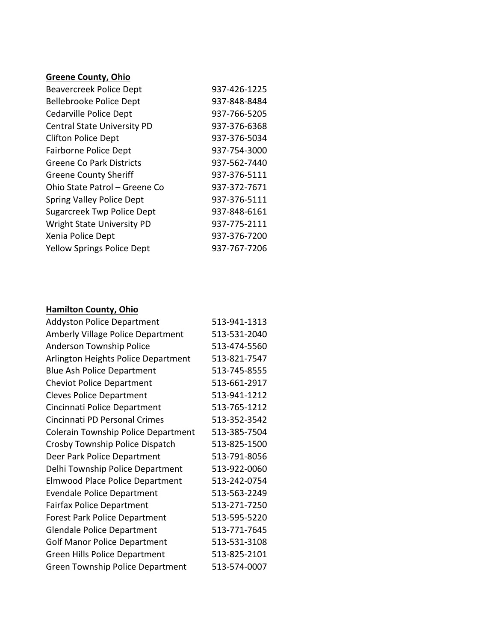#### **Greene County, Ohio**

| <b>Beavercreek Police Dept</b>     | 937-426-1225 |
|------------------------------------|--------------|
| Bellebrooke Police Dept            | 937-848-8484 |
| Cedarville Police Dept             | 937-766-5205 |
| <b>Central State University PD</b> | 937-376-6368 |
| <b>Clifton Police Dept</b>         | 937-376-5034 |
| Fairborne Police Dept              | 937-754-3000 |
| <b>Greene Co Park Districts</b>    | 937-562-7440 |
| <b>Greene County Sheriff</b>       | 937-376-5111 |
| Ohio State Patrol – Greene Co      | 937-372-7671 |
| <b>Spring Valley Police Dept</b>   | 937-376-5111 |
| <b>Sugarcreek Twp Police Dept</b>  | 937-848-6161 |
| <b>Wright State University PD</b>  | 937-775-2111 |
| Xenia Police Dept                  | 937-376-7200 |
| <b>Yellow Springs Police Dept</b>  | 937-767-7206 |

#### **Hamilton County, Ohio**

| <b>Addyston Police Department</b>        | 513-941-1313 |
|------------------------------------------|--------------|
| <b>Amberly Village Police Department</b> | 513-531-2040 |
| Anderson Township Police                 | 513-474-5560 |
| Arlington Heights Police Department      | 513-821-7547 |
| <b>Blue Ash Police Department</b>        | 513-745-8555 |
| <b>Cheviot Police Department</b>         | 513-661-2917 |
| <b>Cleves Police Department</b>          | 513-941-1212 |
| Cincinnati Police Department             | 513-765-1212 |
| Cincinnati PD Personal Crimes            | 513-352-3542 |
| Colerain Township Police Department      | 513-385-7504 |
| Crosby Township Police Dispatch          | 513-825-1500 |
| Deer Park Police Department              | 513-791-8056 |
| Delhi Township Police Department         | 513-922-0060 |
| <b>Elmwood Place Police Department</b>   | 513-242-0754 |
| <b>Evendale Police Department</b>        | 513-563-2249 |
| <b>Fairfax Police Department</b>         | 513-271-7250 |
| <b>Forest Park Police Department</b>     | 513-595-5220 |
| <b>Glendale Police Department</b>        | 513-771-7645 |
| <b>Golf Manor Police Department</b>      | 513-531-3108 |
| Green Hills Police Department            | 513-825-2101 |
| <b>Green Township Police Department</b>  | 513-574-0007 |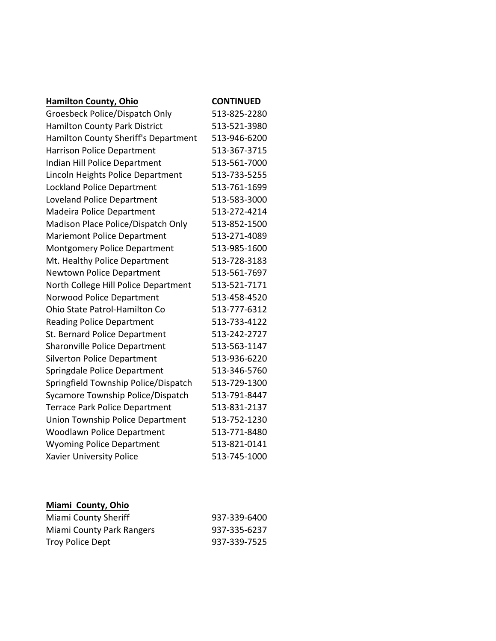| <b>Hamilton County, Ohio</b>          | <b>CONTINUED</b> |
|---------------------------------------|------------------|
| Groesbeck Police/Dispatch Only        | 513-825-2280     |
| <b>Hamilton County Park District</b>  | 513-521-3980     |
| Hamilton County Sheriff's Department  | 513-946-6200     |
| <b>Harrison Police Department</b>     | 513-367-3715     |
| Indian Hill Police Department         | 513-561-7000     |
| Lincoln Heights Police Department     | 513-733-5255     |
| Lockland Police Department            | 513-761-1699     |
| <b>Loveland Police Department</b>     | 513-583-3000     |
| Madeira Police Department             | 513-272-4214     |
| Madison Place Police/Dispatch Only    | 513-852-1500     |
| <b>Mariemont Police Department</b>    | 513-271-4089     |
| Montgomery Police Department          | 513-985-1600     |
| Mt. Healthy Police Department         | 513-728-3183     |
| Newtown Police Department             | 513-561-7697     |
| North College Hill Police Department  | 513-521-7171     |
| Norwood Police Department             | 513-458-4520     |
| Ohio State Patrol-Hamilton Co         | 513-777-6312     |
| <b>Reading Police Department</b>      | 513-733-4122     |
| St. Bernard Police Department         | 513-242-2727     |
| Sharonville Police Department         | 513-563-1147     |
| <b>Silverton Police Department</b>    | 513-936-6220     |
| Springdale Police Department          | 513-346-5760     |
| Springfield Township Police/Dispatch  | 513-729-1300     |
| Sycamore Township Police/Dispatch     | 513-791-8447     |
| <b>Terrace Park Police Department</b> | 513-831-2137     |
| Union Township Police Department      | 513-752-1230     |
| <b>Woodlawn Police Department</b>     | 513-771-8480     |
| <b>Wyoming Police Department</b>      | 513-821-0141     |
| <b>Xavier University Police</b>       | 513-745-1000     |

#### **Miami County, Ohio**

| Miami County Sheriff      | 937-339-6400 |
|---------------------------|--------------|
| Miami County Park Rangers | 937-335-6237 |
| Troy Police Dept          | 937-339-7525 |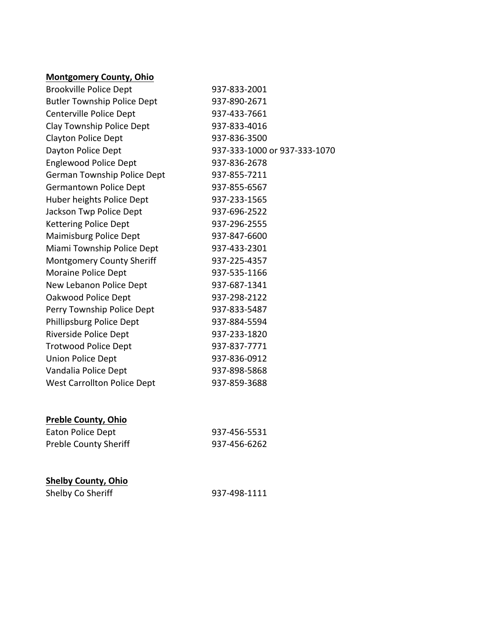#### **Montgomery County, Ohio**

| <b>Brookville Police Dept</b>      | 937-833-2001                 |
|------------------------------------|------------------------------|
| <b>Butler Township Police Dept</b> | 937-890-2671                 |
| Centerville Police Dept            | 937-433-7661                 |
| Clay Township Police Dept          | 937-833-4016                 |
| <b>Clayton Police Dept</b>         | 937-836-3500                 |
| Dayton Police Dept                 | 937-333-1000 or 937-333-1070 |
| <b>Englewood Police Dept</b>       | 937-836-2678                 |
| German Township Police Dept        | 937-855-7211                 |
| Germantown Police Dept             | 937-855-6567                 |
| Huber heights Police Dept          | 937-233-1565                 |
| Jackson Twp Police Dept            | 937-696-2522                 |
| <b>Kettering Police Dept</b>       | 937-296-2555                 |
| Maimisburg Police Dept             | 937-847-6600                 |
| Miami Township Police Dept         | 937-433-2301                 |
| <b>Montgomery County Sheriff</b>   | 937-225-4357                 |
| Moraine Police Dept                | 937-535-1166                 |
| New Lebanon Police Dept            | 937-687-1341                 |
| Oakwood Police Dept                | 937-298-2122                 |
| Perry Township Police Dept         | 937-833-5487                 |
| Phillipsburg Police Dept           | 937-884-5594                 |
| Riverside Police Dept              | 937-233-1820                 |
| <b>Trotwood Police Dept</b>        | 937-837-7771                 |
| Union Police Dept                  | 937-836-0912                 |
| Vandalia Police Dept               | 937-898-5868                 |
| <b>West Carrollton Police Dept</b> | 937-859-3688                 |
|                                    |                              |
|                                    |                              |

#### **Preble County, Ohio**

| Eaton Police Dept            | 937-456-5531 |
|------------------------------|--------------|
| <b>Preble County Sheriff</b> | 937-456-6262 |

#### **Shelby County, Ohio**

| Shelby Co Sheriff | 937-498-1111 |
|-------------------|--------------|
|-------------------|--------------|